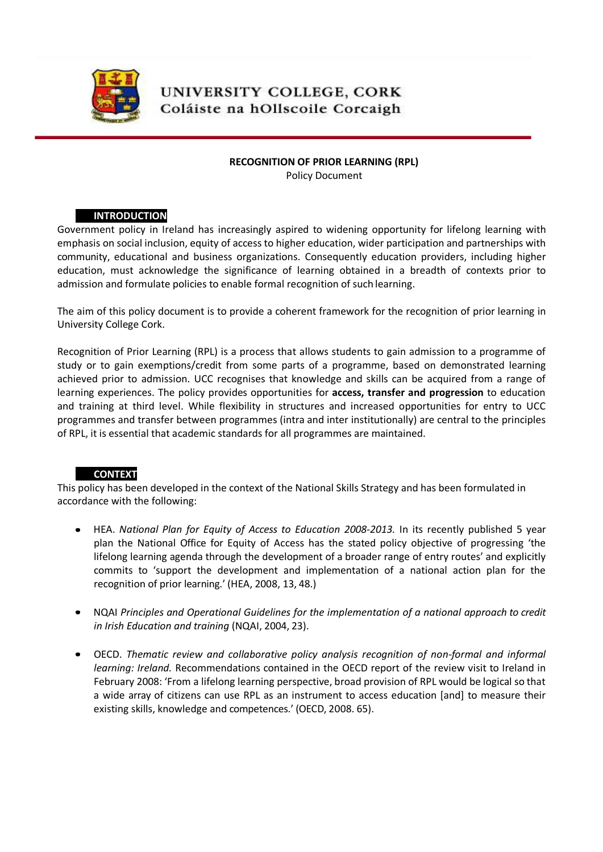

# UNIVERSITY COLLEGE, CORK Coláiste na hOllscoile Corcaigh

#### **RECOGNITION OF PRIOR LEARNING (RPL)**

Policy Document

# **A) INTRODUCTION**

Government policy in Ireland has increasingly aspired to widening opportunity for lifelong learning with emphasis on social inclusion, equity of access to higher education, wider participation and partnerships with community, educational and business organizations. Consequently education providers, including higher education, must acknowledge the significance of learning obtained in a breadth of contexts prior to admission and formulate policies to enable formal recognition of such learning.

The aim of this policy document is to provide a coherent framework for the recognition of prior learning in University College Cork.

Recognition of Prior Learning (RPL) is a process that allows students to gain admission to a programme of study or to gain exemptions/credit from some parts of a programme, based on demonstrated learning achieved prior to admission. UCC recognises that knowledge and skills can be acquired from a range of learning experiences. The policy provides opportunities for **access, transfer and progression** to education and training at third level. While flexibility in structures and increased opportunities for entry to UCC programmes and transfer between programmes (intra and inter institutionally) are central to the principles of RPL, it is essential that academic standards for all programmes are maintained.

# **B) CONTEXT**

This policy has been developed in the context of the National Skills Strategy and has been formulated in accordance with the following:

- HEA. *National Plan for Equity of Access to Education 2008-2013.* In its recently published 5 year  $\bullet$ plan the National Office for Equity of Access has the stated policy objective of progressing 'the lifelong learning agenda through the development of a broader range of entry routes' and explicitly commits to 'support the development and implementation of a national action plan for the recognition of prior learning.' (HEA, 2008, 13, 48.)
- NQAI *Principles and Operational Guidelines for the implementation of a national approach to credit in Irish Education and training* (NQAI, 2004, 23).
- OECD. *Thematic review and collaborative policy analysis recognition of non-formal and informal learning: Ireland.* Recommendations contained in the OECD report of the review visit to Ireland in February 2008: 'From a lifelong learning perspective, broad provision of RPL would be logical so that a wide array of citizens can use RPL as an instrument to access education [and] to measure their existing skills, knowledge and competences.' (OECD, 2008. 65).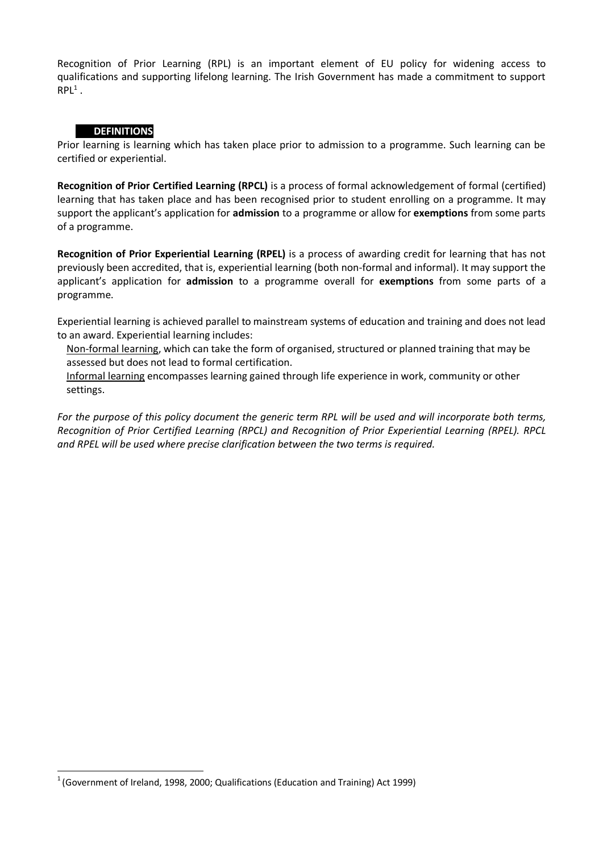Recognition of Prior Learning (RPL) is an important element of EU policy for widening access to qualifications and supporting lifelong learning. The Irish Government has made a commitment to support  $RPL<sup>1</sup>$ .

# **C) DEFINITIONS**

Prior learning is learning which has taken place prior to admission to a programme. Such learning can be certified or experiential.

**Recognition of Prior Certified Learning (RPCL)** is a process of formal acknowledgement of formal (certified) learning that has taken place and has been recognised prior to student enrolling on a programme. It may support the applicant's application for **admission** to a programme or allow for **exemptions** from some parts of a programme.

**Recognition of Prior Experiential Learning (RPEL)** is a process of awarding credit for learning that has not previously been accredited, that is, experiential learning (both non-formal and informal). It may support the applicant's application for **admission** to a programme overall for **exemptions** from some parts of a programme.

Experiential learning is achieved parallel to mainstream systems of education and training and does not lead to an award. Experiential learning includes:

Non-formal learning, which can take the form of organised, structured or planned training that may be assessed but does not lead to formal certification.

Informal learning encompasses learning gained through life experience in work, community or other settings.

*For the purpose of this policy document the generic term RPL will be used and will incorporate both terms, Recognition of Prior Certified Learning (RPCL) and Recognition of Prior Experiential Learning (RPEL). RPCL and RPEL will be used where precise clarification between the two terms is required.*

 $1$  (Government of Ireland, 1998, 2000; Qualifications (Education and Training) Act 1999)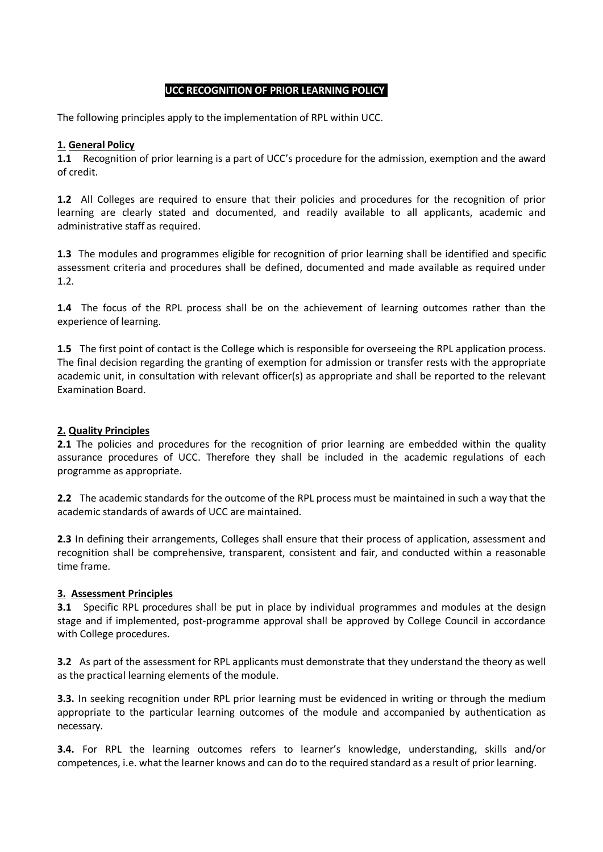#### **UCC RECOGNITION OF PRIOR LEARNING POLICY**

The following principles apply to the implementation of RPL within UCC.

#### **1. General Policy**

**1.1** Recognition of prior learning is a part of UCC's procedure for the admission, exemption and the award of credit.

**1.2** All Colleges are required to ensure that their policies and procedures for the recognition of prior learning are clearly stated and documented, and readily available to all applicants, academic and administrative staff as required.

**1.3** The modules and programmes eligible for recognition of prior learning shall be identified and specific assessment criteria and procedures shall be defined, documented and made available as required under 1.2.

**1.4** The focus of the RPL process shall be on the achievement of learning outcomes rather than the experience of learning.

**1.5** The first point of contact is the College which is responsible for overseeing the RPL application process. The final decision regarding the granting of exemption for admission or transfer rests with the appropriate academic unit, in consultation with relevant officer(s) as appropriate and shall be reported to the relevant Examination Board.

#### **2. Quality Principles**

**2.1** The policies and procedures for the recognition of prior learning are embedded within the quality assurance procedures of UCC. Therefore they shall be included in the academic regulations of each programme as appropriate.

**2.2** The academic standards for the outcome of the RPL process must be maintained in such a way that the academic standards of awards of UCC are maintained.

**2.3** In defining their arrangements, Colleges shall ensure that their process of application, assessment and recognition shall be comprehensive, transparent, consistent and fair, and conducted within a reasonable time frame.

#### **3. Assessment Principles**

**3.1** Specific RPL procedures shall be put in place by individual programmes and modules at the design stage and if implemented, post-programme approval shall be approved by College Council in accordance with College procedures.

**3.2** As part of the assessment for RPL applicants must demonstrate that they understand the theory as well as the practical learning elements of the module.

**3.3.** In seeking recognition under RPL prior learning must be evidenced in writing or through the medium appropriate to the particular learning outcomes of the module and accompanied by authentication as necessary.

**3.4.** For RPL the learning outcomes refers to learner's knowledge, understanding, skills and/or competences, i.e. what the learner knows and can do to the required standard as a result of prior learning.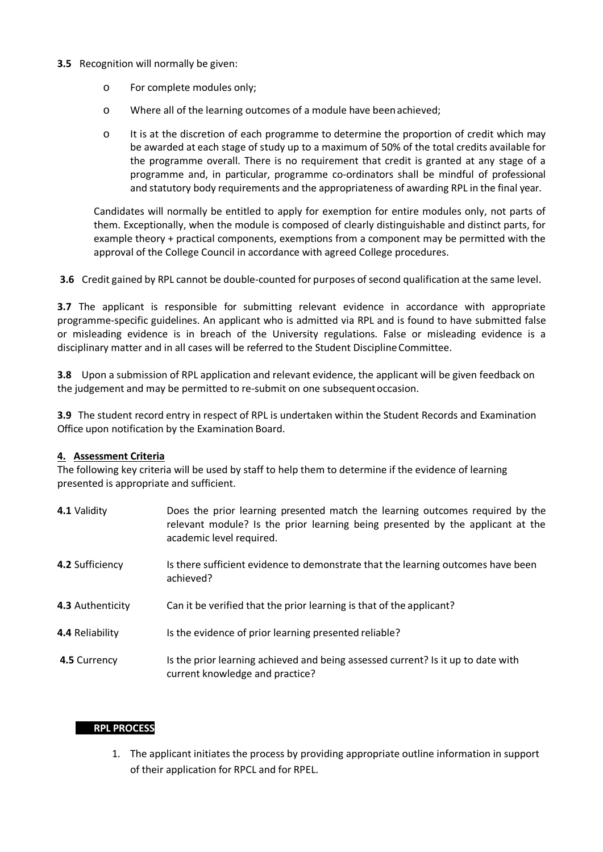#### **3.5** Recognition will normally be given:

- o For complete modules only;
- o Where all of the learning outcomes of a module have beenachieved;
- o It is at the discretion of each programme to determine the proportion of credit which may be awarded at each stage of study up to a maximum of 50% of the total credits available for the programme overall. There is no requirement that credit is granted at any stage of a programme and, in particular, programme co-ordinators shall be mindful of professional and statutory body requirements and the appropriateness of awarding RPL in the final year.

Candidates will normally be entitled to apply for exemption for entire modules only, not parts of them. Exceptionally, when the module is composed of clearly distinguishable and distinct parts, for example theory + practical components, exemptions from a component may be permitted with the approval of the College Council in accordance with agreed College procedures.

**3.6** Credit gained by RPL cannot be double-counted for purposes of second qualification at the same level.

**3.7** The applicant is responsible for submitting relevant evidence in accordance with appropriate programme-specific guidelines. An applicant who is admitted via RPL and is found to have submitted false or misleading evidence is in breach of the University regulations. False or misleading evidence is a disciplinary matter and in all cases will be referred to the Student DisciplineCommittee.

**3.8** Upon a submission of RPL application and relevant evidence, the applicant will be given feedback on the judgement and may be permitted to re-submit on one subsequentoccasion.

**3.9** The student record entry in respect of RPL is undertaken within the Student Records and Examination Office upon notification by the Examination Board.

#### **4. Assessment Criteria**

The following key criteria will be used by staff to help them to determine if the evidence of learning presented is appropriate and sufficient.

| 4.1 Validity     | Does the prior learning presented match the learning outcomes required by the<br>relevant module? Is the prior learning being presented by the applicant at the<br>academic level required. |
|------------------|---------------------------------------------------------------------------------------------------------------------------------------------------------------------------------------------|
| 4.2 Sufficiency  | Is there sufficient evidence to demonstrate that the learning outcomes have been<br>achieved?                                                                                               |
| 4.3 Authenticity | Can it be verified that the prior learning is that of the applicant?                                                                                                                        |
| 4.4 Reliability  | Is the evidence of prior learning presented reliable?                                                                                                                                       |
| 4.5 Currency     | Is the prior learning achieved and being assessed current? Is it up to date with<br>current knowledge and practice?                                                                         |

#### **D) RPL PROCESS**

1. The applicant initiates the process by providing appropriate outline information in support of their application for RPCL and for RPEL.